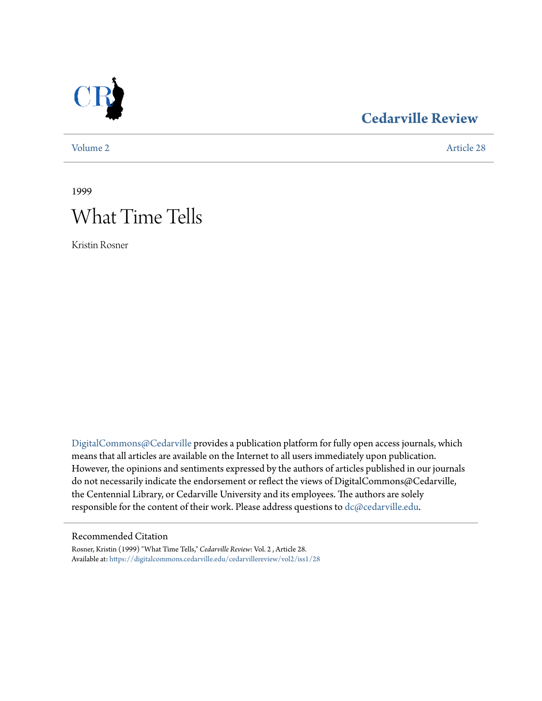

## **[Cedarville Review](https://digitalcommons.cedarville.edu/cedarvillereview?utm_source=digitalcommons.cedarville.edu%2Fcedarvillereview%2Fvol2%2Fiss1%2F28&utm_medium=PDF&utm_campaign=PDFCoverPages)**

[Volume 2](https://digitalcommons.cedarville.edu/cedarvillereview/vol2?utm_source=digitalcommons.cedarville.edu%2Fcedarvillereview%2Fvol2%2Fiss1%2F28&utm_medium=PDF&utm_campaign=PDFCoverPages) [Article 28](https://digitalcommons.cedarville.edu/cedarvillereview/vol2/iss1/28?utm_source=digitalcommons.cedarville.edu%2Fcedarvillereview%2Fvol2%2Fiss1%2F28&utm_medium=PDF&utm_campaign=PDFCoverPages)

1999

# What Time Tells

Kristin Rosner

[DigitalCommons@Cedarville](http://digitalcommons.cedarville.edu) provides a publication platform for fully open access journals, which means that all articles are available on the Internet to all users immediately upon publication. However, the opinions and sentiments expressed by the authors of articles published in our journals do not necessarily indicate the endorsement or reflect the views of DigitalCommons@Cedarville, the Centennial Library, or Cedarville University and its employees. The authors are solely responsible for the content of their work. Please address questions to [dc@cedarville.edu](mailto:dc@cedarville.edu).

#### Recommended Citation

Rosner, Kristin (1999) "What Time Tells," *Cedarville Review*: Vol. 2 , Article 28. Available at: [https://digitalcommons.cedarville.edu/cedarvillereview/vol2/iss1/28](https://digitalcommons.cedarville.edu/cedarvillereview/vol2/iss1/28?utm_source=digitalcommons.cedarville.edu%2Fcedarvillereview%2Fvol2%2Fiss1%2F28&utm_medium=PDF&utm_campaign=PDFCoverPages)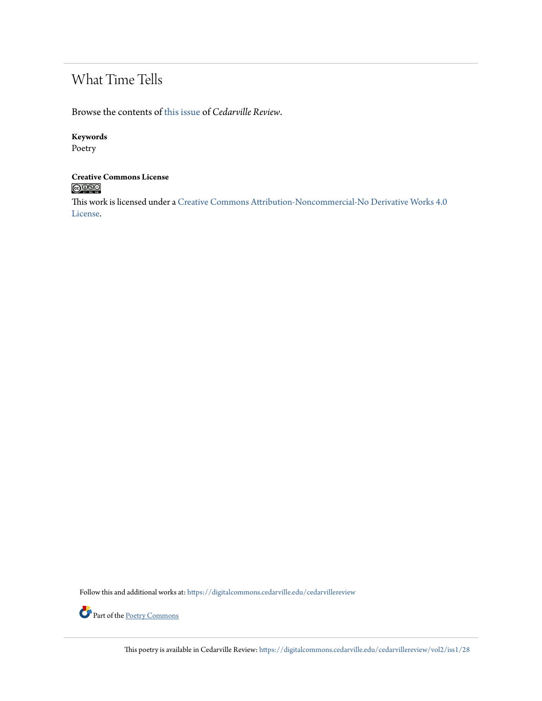# What Time Tells

Browse the contents of [this issue](https://digitalcommons.cedarville.edu/cedarvillereview/vol2/iss1) of *Cedarville Review*.

#### **Keywords**

Poetry

#### **Creative Commons License**  $\bigcirc$  000

This work is licensed under a [Creative Commons Attribution-Noncommercial-No Derivative Works 4.0](http://creativecommons.org/licenses/by-nc-nd/4.0/) [License.](http://creativecommons.org/licenses/by-nc-nd/4.0/)

Follow this and additional works at: [https://digitalcommons.cedarville.edu/cedarvillereview](https://digitalcommons.cedarville.edu/cedarvillereview?utm_source=digitalcommons.cedarville.edu%2Fcedarvillereview%2Fvol2%2Fiss1%2F28&utm_medium=PDF&utm_campaign=PDFCoverPages)



This poetry is available in Cedarville Review: [https://digitalcommons.cedarville.edu/cedarvillereview/vol2/iss1/28](https://digitalcommons.cedarville.edu/cedarvillereview/vol2/iss1/28?utm_source=digitalcommons.cedarville.edu%2Fcedarvillereview%2Fvol2%2Fiss1%2F28&utm_medium=PDF&utm_campaign=PDFCoverPages)